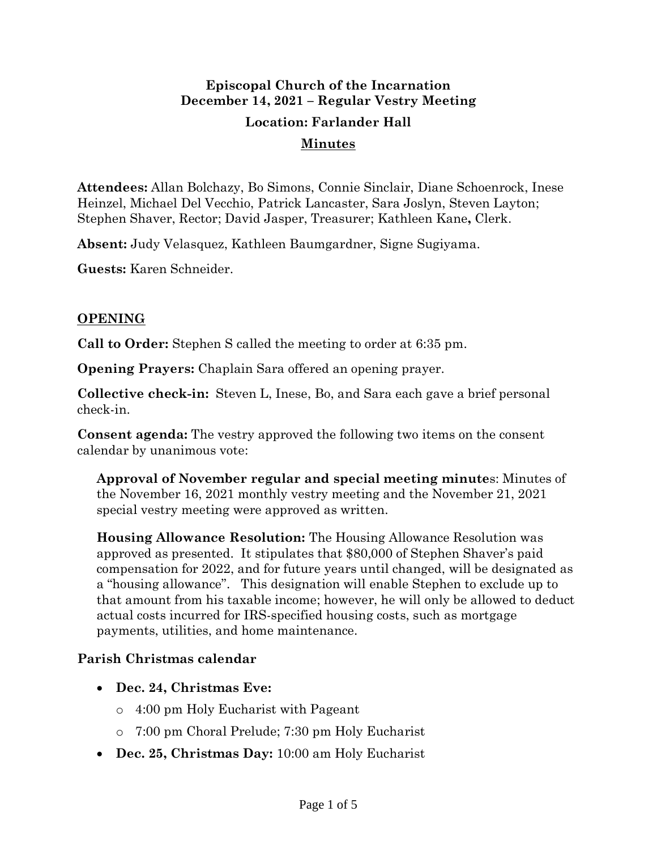# **Episcopal Church of the Incarnation December 14, 2021 – Regular Vestry Meeting Location: Farlander Hall**

#### **Minutes**

**Attendees:** Allan Bolchazy, Bo Simons, Connie Sinclair, Diane Schoenrock, Inese Heinzel, Michael Del Vecchio, Patrick Lancaster, Sara Joslyn, Steven Layton; Stephen Shaver, Rector; David Jasper, Treasurer; Kathleen Kane**,** Clerk.

**Absent:** Judy Velasquez, Kathleen Baumgardner, Signe Sugiyama.

**Guests:** Karen Schneider.

### **OPENING**

**Call to Order:** Stephen S called the meeting to order at 6:35 pm.

**Opening Prayers:** Chaplain Sara offered an opening prayer.

**Collective check-in:** Steven L, Inese, Bo, and Sara each gave a brief personal check-in.

**Consent agenda:** The vestry approved the following two items on the consent calendar by unanimous vote:

**Approval of November regular and special meeting minute**s: Minutes of the November 16, 2021 monthly vestry meeting and the November 21, 2021 special vestry meeting were approved as written.

**Housing Allowance Resolution:** The Housing Allowance Resolution was approved as presented. It stipulates that \$80,000 of Stephen Shaver's paid compensation for 2022, and for future years until changed, will be designated as a "housing allowance". This designation will enable Stephen to exclude up to that amount from his taxable income; however, he will only be allowed to deduct actual costs incurred for IRS-specified housing costs, such as mortgage payments, utilities, and home maintenance.

#### **Parish Christmas calendar**

- **Dec. 24, Christmas Eve:**
	- o 4:00 pm Holy Eucharist with Pageant
	- o 7:00 pm Choral Prelude; 7:30 pm Holy Eucharist
- **Dec. 25, Christmas Day:** 10:00 am Holy Eucharist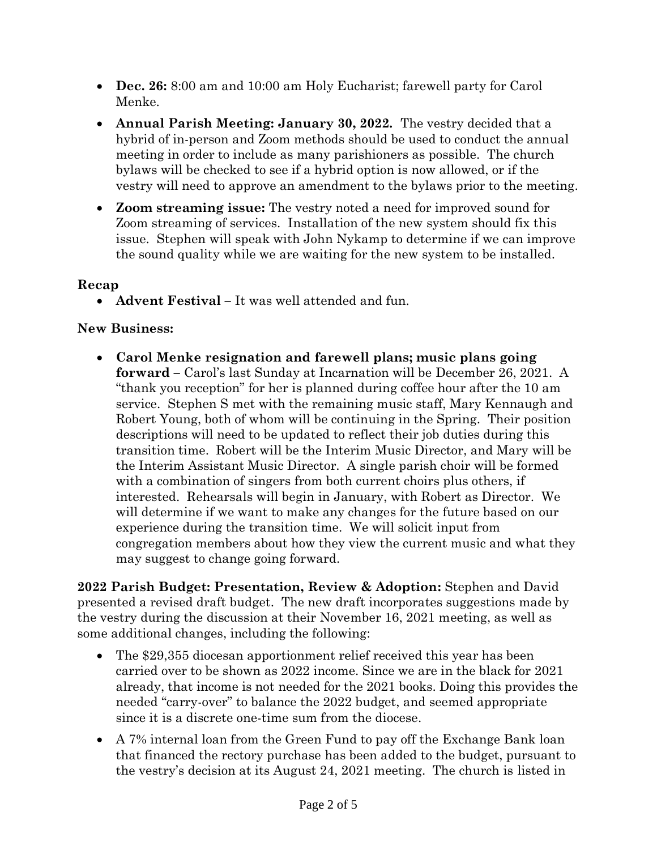- **Dec. 26:** 8:00 am and 10:00 am Holy Eucharist; farewell party for Carol Menke.
- **Annual Parish Meeting: January 30, 2022.** The vestry decided that a hybrid of in-person and Zoom methods should be used to conduct the annual meeting in order to include as many parishioners as possible. The church bylaws will be checked to see if a hybrid option is now allowed, or if the vestry will need to approve an amendment to the bylaws prior to the meeting.
- **Zoom streaming issue:** The vestry noted a need for improved sound for Zoom streaming of services. Installation of the new system should fix this issue. Stephen will speak with John Nykamp to determine if we can improve the sound quality while we are waiting for the new system to be installed.

#### **Recap**

• **Advent Festival –** It was well attended and fun.

# **New Business:**

• **Carol Menke resignation and farewell plans; music plans going forward –** Carol's last Sunday at Incarnation will be December 26, 2021. A "thank you reception" for her is planned during coffee hour after the 10 am service. Stephen S met with the remaining music staff, Mary Kennaugh and Robert Young, both of whom will be continuing in the Spring. Their position descriptions will need to be updated to reflect their job duties during this transition time. Robert will be the Interim Music Director, and Mary will be the Interim Assistant Music Director. A single parish choir will be formed with a combination of singers from both current choirs plus others, if interested. Rehearsals will begin in January, with Robert as Director. We will determine if we want to make any changes for the future based on our experience during the transition time. We will solicit input from congregation members about how they view the current music and what they may suggest to change going forward.

**2022 Parish Budget: Presentation, Review & Adoption:** Stephen and David presented a revised draft budget. The new draft incorporates suggestions made by the vestry during the discussion at their November 16, 2021 meeting, as well as some additional changes, including the following:

- The \$29,355 diocesan apportionment relief received this year has been carried over to be shown as 2022 income. Since we are in the black for 2021 already, that income is not needed for the 2021 books. Doing this provides the needed "carry-over" to balance the 2022 budget, and seemed appropriate since it is a discrete one-time sum from the diocese.
- A 7% internal loan from the Green Fund to pay off the Exchange Bank loan that financed the rectory purchase has been added to the budget, pursuant to the vestry's decision at its August 24, 2021 meeting. The church is listed in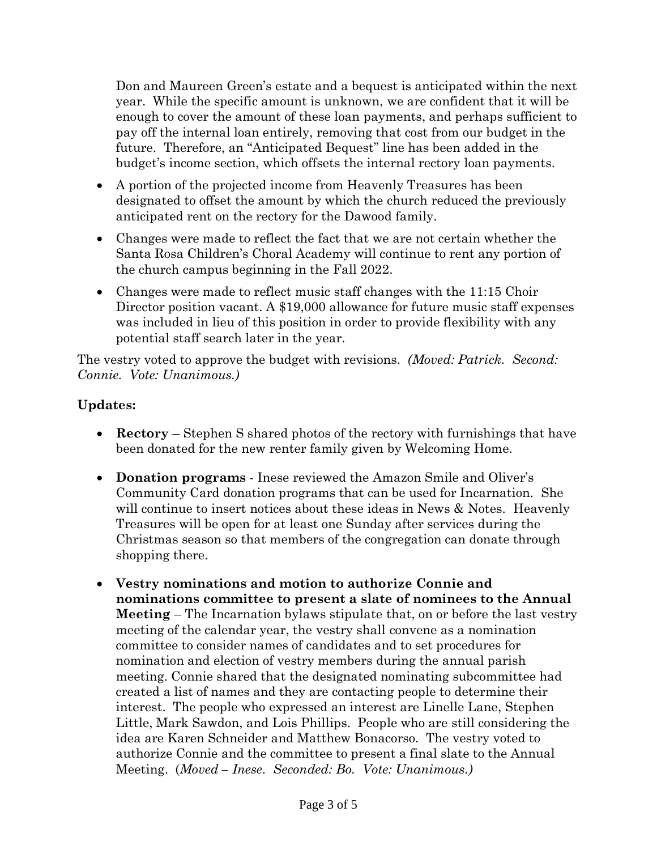Don and Maureen Green's estate and a bequest is anticipated within the next year. While the specific amount is unknown, we are confident that it will be enough to cover the amount of these loan payments, and perhaps sufficient to pay off the internal loan entirely, removing that cost from our budget in the future. Therefore, an "Anticipated Bequest" line has been added in the budget's income section, which offsets the internal rectory loan payments.

- A portion of the projected income from Heavenly Treasures has been designated to offset the amount by which the church reduced the previously anticipated rent on the rectory for the Dawood family.
- Changes were made to reflect the fact that we are not certain whether the Santa Rosa Children's Choral Academy will continue to rent any portion of the church campus beginning in the Fall 2022.
- Changes were made to reflect music staff changes with the 11:15 Choir Director position vacant. A \$19,000 allowance for future music staff expenses was included in lieu of this position in order to provide flexibility with any potential staff search later in the year.

The vestry voted to approve the budget with revisions. *(Moved: Patrick. Second: Connie. Vote: Unanimous.)*

## **Updates:**

- **Rectory** Stephen S shared photos of the rectory with furnishings that have been donated for the new renter family given by Welcoming Home.
- **Donation programs** Inese reviewed the Amazon Smile and Oliver's Community Card donation programs that can be used for Incarnation. She will continue to insert notices about these ideas in News & Notes. Heavenly Treasures will be open for at least one Sunday after services during the Christmas season so that members of the congregation can donate through shopping there.
- **Vestry nominations and motion to authorize Connie and nominations committee to present a slate of nominees to the Annual Meeting** – The Incarnation bylaws stipulate that, on or before the last vestry meeting of the calendar year, the vestry shall convene as a nomination committee to consider names of candidates and to set procedures for nomination and election of vestry members during the annual parish meeting. Connie shared that the designated nominating subcommittee had created a list of names and they are contacting people to determine their interest. The people who expressed an interest are Linelle Lane, Stephen Little, Mark Sawdon, and Lois Phillips. People who are still considering the idea are Karen Schneider and Matthew Bonacorso. The vestry voted to authorize Connie and the committee to present a final slate to the Annual Meeting. (*Moved – Inese. Seconded: Bo. Vote: Unanimous.)*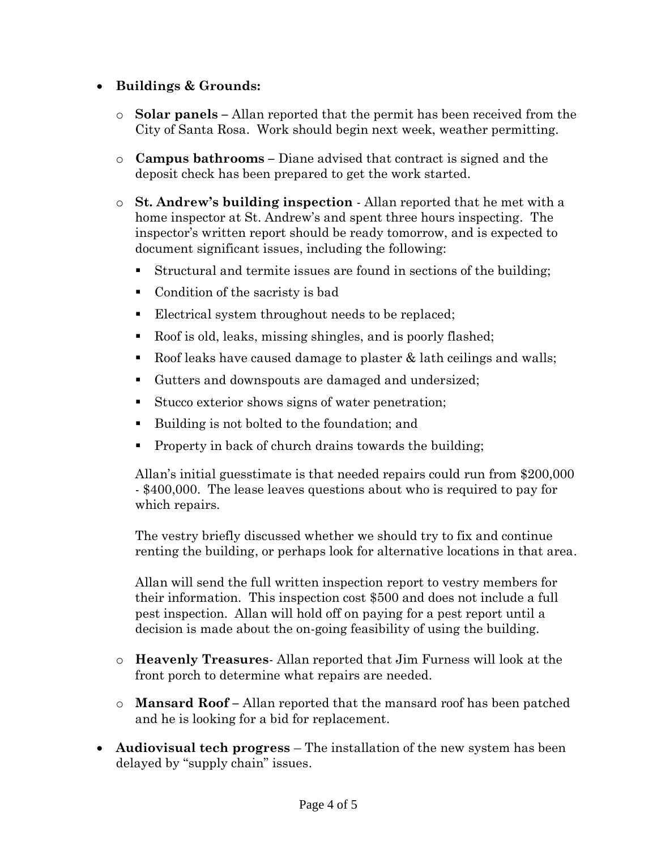## • **Buildings & Grounds:**

- o **Solar panels –** Allan reported that the permit has been received from the City of Santa Rosa. Work should begin next week, weather permitting.
- o **Campus bathrooms –** Diane advised that contract is signed and the deposit check has been prepared to get the work started.
- o **St. Andrew's building inspection** Allan reported that he met with a home inspector at St. Andrew's and spent three hours inspecting. The inspector's written report should be ready tomorrow, and is expected to document significant issues, including the following:
	- Structural and termite issues are found in sections of the building;
	- Condition of the sacristy is bad
	- Electrical system throughout needs to be replaced;
	- Roof is old, leaks, missing shingles, and is poorly flashed;
	- Example 1 Roof leaks have caused damage to plaster  $\&$  lath ceilings and walls;
	- Gutters and downspouts are damaged and undersized;
	- Stucco exterior shows signs of water penetration;
	- Building is not bolted to the foundation; and
	- Property in back of church drains towards the building;

Allan's initial guesstimate is that needed repairs could run from \$200,000 - \$400,000. The lease leaves questions about who is required to pay for which repairs.

The vestry briefly discussed whether we should try to fix and continue renting the building, or perhaps look for alternative locations in that area.

Allan will send the full written inspection report to vestry members for their information. This inspection cost \$500 and does not include a full pest inspection. Allan will hold off on paying for a pest report until a decision is made about the on-going feasibility of using the building.

- o **Heavenly Treasures** Allan reported that Jim Furness will look at the front porch to determine what repairs are needed.
- o **Mansard Roof –** Allan reported that the mansard roof has been patched and he is looking for a bid for replacement.
- **Audiovisual tech progress** The installation of the new system has been delayed by "supply chain" issues.